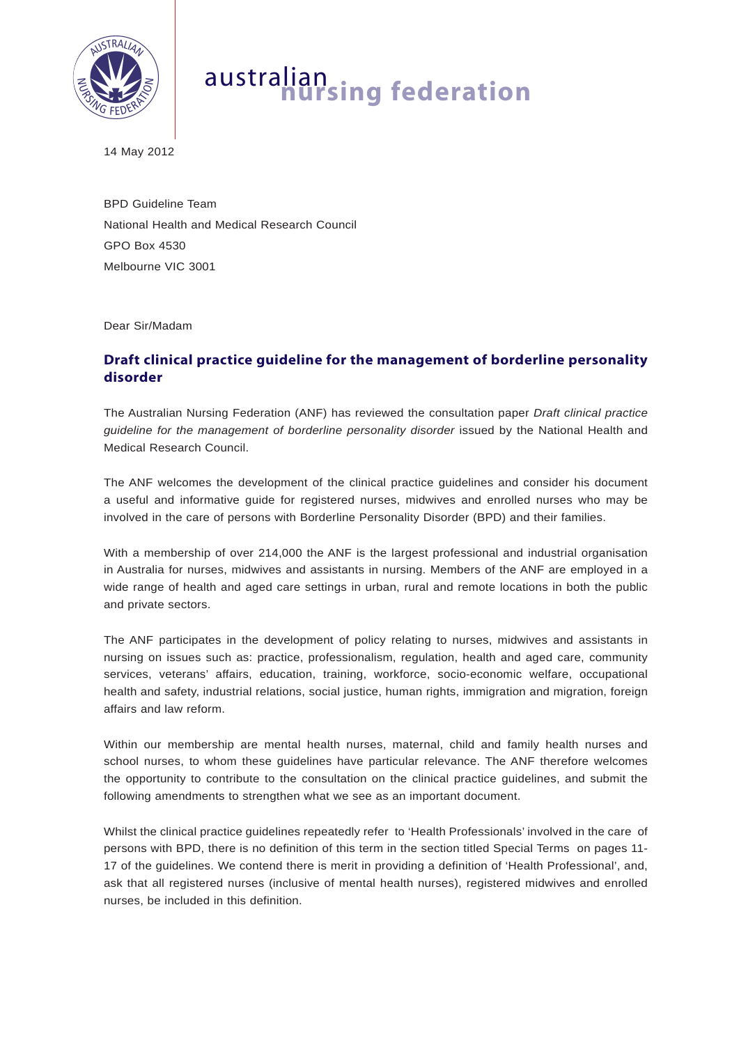

## australian **nursing federation**

14 May 2012

BPD Guideline Team National Health and Medical Research Council GPO Box 4530 Melbourne VIC 3001

Dear Sir/Madam

## **Draft clinical practice guideline for the management of borderline personality disorder**

The Australian Nursing Federation (ANF) has reviewed the consultation paper *Draft clinical practice guideline for the management of borderline personality disorder* issued by the National Health and Medical Research Council.

The ANF welcomes the development of the clinical practice guidelines and consider his document a useful and informative guide for registered nurses, midwives and enrolled nurses who may be involved in the care of persons with Borderline Personality Disorder (BPD) and their families.

With a membership of over 214,000 the ANF is the largest professional and industrial organisation in Australia for nurses, midwives and assistants in nursing. Members of the ANF are employed in a wide range of health and aged care settings in urban, rural and remote locations in both the public and private sectors.

The ANF participates in the development of policy relating to nurses, midwives and assistants in nursing on issues such as: practice, professionalism, regulation, health and aged care, community services, veterans' affairs, education, training, workforce, socio-economic welfare, occupational health and safety, industrial relations, social justice, human rights, immigration and migration, foreign affairs and law reform.

Within our membership are mental health nurses, maternal, child and family health nurses and school nurses, to whom these guidelines have particular relevance. The ANF therefore welcomes the opportunity to contribute to the consultation on the clinical practice guidelines, and submit the following amendments to strengthen what we see as an important document.

Whilst the clinical practice guidelines repeatedly refer to 'Health Professionals' involved in the care of persons with BPD, there is no definition of this term in the section titled Special Terms on pages 11- 17 of the guidelines. We contend there is merit in providing a definition of 'Health Professional', and, ask that all registered nurses (inclusive of mental health nurses), registered midwives and enrolled nurses, be included in this definition.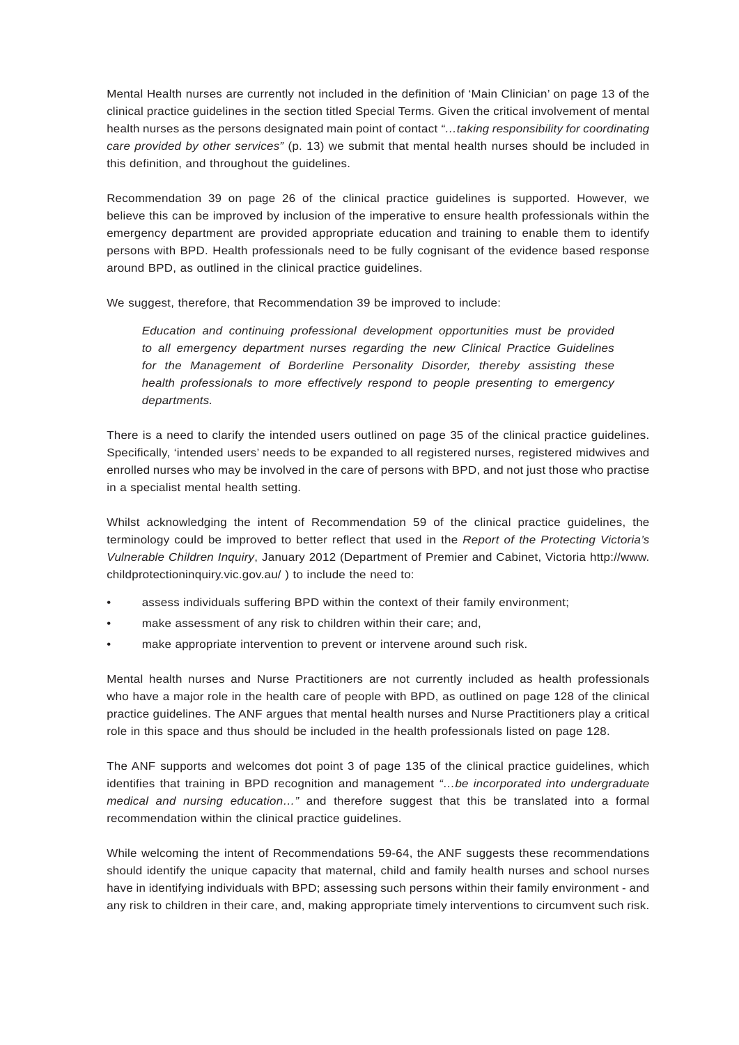Mental Health nurses are currently not included in the definition of 'Main Clinician' on page 13 of the clinical practice guidelines in the section titled Special Terms. Given the critical involvement of mental health nurses as the persons designated main point of contact *"…taking responsibility for coordinating care provided by other services"* (p. 13) we submit that mental health nurses should be included in this definition, and throughout the guidelines.

Recommendation 39 on page 26 of the clinical practice guidelines is supported. However, we believe this can be improved by inclusion of the imperative to ensure health professionals within the emergency department are provided appropriate education and training to enable them to identify persons with BPD. Health professionals need to be fully cognisant of the evidence based response around BPD, as outlined in the clinical practice guidelines.

We suggest, therefore, that Recommendation 39 be improved to include:

*Education and continuing professional development opportunities must be provided to all emergency department nurses regarding the new Clinical Practice Guidelines for the Management of Borderline Personality Disorder, thereby assisting these health professionals to more effectively respond to people presenting to emergency departments.*

There is a need to clarify the intended users outlined on page 35 of the clinical practice guidelines. Specifically, 'intended users' needs to be expanded to all registered nurses, registered midwives and enrolled nurses who may be involved in the care of persons with BPD, and not just those who practise in a specialist mental health setting.

Whilst acknowledging the intent of Recommendation 59 of the clinical practice guidelines, the terminology could be improved to better reflect that used in the *Report of the Protecting Victoria's Vulnerable Children Inquiry*, January 2012 (Department of Premier and Cabinet, Victoria http://www. childprotectioninquiry.vic.gov.au/ ) to include the need to:

- assess individuals suffering BPD within the context of their family environment;
- make assessment of any risk to children within their care; and,
- make appropriate intervention to prevent or intervene around such risk.

Mental health nurses and Nurse Practitioners are not currently included as health professionals who have a major role in the health care of people with BPD, as outlined on page 128 of the clinical practice guidelines. The ANF argues that mental health nurses and Nurse Practitioners play a critical role in this space and thus should be included in the health professionals listed on page 128.

The ANF supports and welcomes dot point 3 of page 135 of the clinical practice guidelines, which identifies that training in BPD recognition and management *"…be incorporated into undergraduate medical and nursing education…"* and therefore suggest that this be translated into a formal recommendation within the clinical practice guidelines.

While welcoming the intent of Recommendations 59-64, the ANF suggests these recommendations should identify the unique capacity that maternal, child and family health nurses and school nurses have in identifying individuals with BPD; assessing such persons within their family environment - and any risk to children in their care, and, making appropriate timely interventions to circumvent such risk.